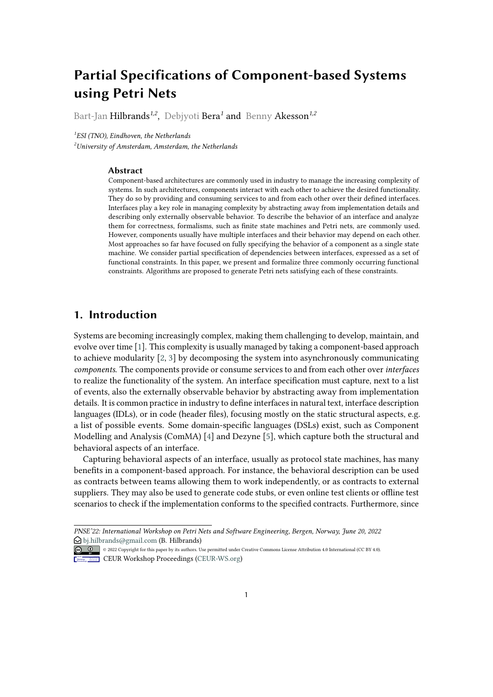# **Partial Specifications of Component-based Systems using Petri Nets**

Bart-Jan Hilbrands*1,2* , Debjyoti Bera*<sup>1</sup>* and Benny Akesson*1,2*

*1 ESI (TNO), Eindhoven, the Netherlands <sup>2</sup>University of Amsterdam, Amsterdam, the Netherlands*

#### **Abstract**

Component-based architectures are commonly used in industry to manage the increasing complexity of systems. In such architectures, components interact with each other to achieve the desired functionality. They do so by providing and consuming services to and from each other over their defined interfaces. Interfaces play a key role in managing complexity by abstracting away from implementation details and describing only externally observable behavior. To describe the behavior of an interface and analyze them for correctness, formalisms, such as finite state machines and Petri nets, are commonly used. However, components usually have multiple interfaces and their behavior may depend on each other. Most approaches so far have focused on fully specifying the behavior of a component as a single state machine. We consider partial specification of dependencies between interfaces, expressed as a set of functional constraints. In this paper, we present and formalize three commonly occurring functional constraints. Algorithms are proposed to generate Petri nets satisfying each of these constraints.

# **1. Introduction**

Systems are becoming increasingly complex, making them challenging to develop, maintain, and evolve over time [\[1\]](#page-17-0). This complexity is usually managed by taking a component-based approach to achieve modularity [\[2,](#page-17-1) [3\]](#page-17-2) by decomposing the system into asynchronously communicating *components*. The components provide or consume services to and from each other over *interfaces* to realize the functionality of the system. An interface specification must capture, next to a list of events, also the externally observable behavior by abstracting away from implementation details. It is common practice in industry to define interfaces in natural text, interface description languages (IDLs), or in code (header files), focusing mostly on the static structural aspects, e.g. a list of possible events. Some domain-specific languages (DSLs) exist, such as Component Modelling and Analysis (ComMA) [\[4\]](#page-17-3) and Dezyne [\[5\]](#page-17-4), which capture both the structural and behavioral aspects of an interface.

Capturing behavioral aspects of an interface, usually as protocol state machines, has many benefits in a component-based approach. For instance, the behavioral description can be used as contracts between teams allowing them to work independently, or as contracts to external suppliers. They may also be used to generate code stubs, or even online test clients or offline test scenarios to check if the implementation conforms to the specified contracts. Furthermore, since

*PNSE'22: International Workshop on Petri Nets and Software Engineering, Bergen, Norway, June 20, 2022*  $\bigcirc$  [bj.hilbrands@gmail.com](mailto:bj.hilbrands@gmail.com) (B. Hilbrands)

<sup>©</sup> 2022 Copyright for this paper by its authors. Use permitted under Creative Commons License Attribution 4.0 International (CC BY 4.0). CEUR Workshop [Proceedings](http://ceur-ws.org) [\(CEUR-WS.org\)](http://ceur-ws.org)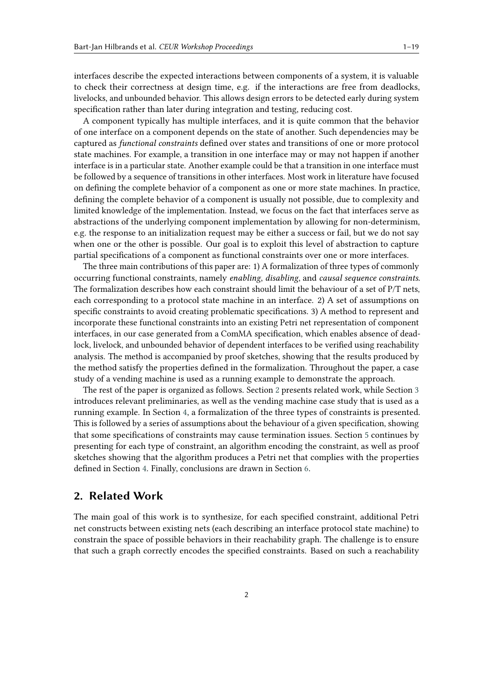interfaces describe the expected interactions between components of a system, it is valuable to check their correctness at design time, e.g. if the interactions are free from deadlocks, livelocks, and unbounded behavior. This allows design errors to be detected early during system specification rather than later during integration and testing, reducing cost.

A component typically has multiple interfaces, and it is quite common that the behavior of one interface on a component depends on the state of another. Such dependencies may be captured as *functional constraints* defined over states and transitions of one or more protocol state machines. For example, a transition in one interface may or may not happen if another interface is in a particular state. Another example could be that a transition in one interface must be followed by a sequence of transitions in other interfaces. Most work in literature have focused on defining the complete behavior of a component as one or more state machines. In practice, defining the complete behavior of a component is usually not possible, due to complexity and limited knowledge of the implementation. Instead, we focus on the fact that interfaces serve as abstractions of the underlying component implementation by allowing for non-determinism, e.g. the response to an initialization request may be either a success or fail, but we do not say when one or the other is possible. Our goal is to exploit this level of abstraction to capture partial specifications of a component as functional constraints over one or more interfaces.

The three main contributions of this paper are: 1) A formalization of three types of commonly occurring functional constraints, namely *enabling*, *disabling*, and *causal sequence constraints*. The formalization describes how each constraint should limit the behaviour of a set of P/T nets, each corresponding to a protocol state machine in an interface. 2) A set of assumptions on specific constraints to avoid creating problematic specifications. 3) A method to represent and incorporate these functional constraints into an existing Petri net representation of component interfaces, in our case generated from a ComMA specification, which enables absence of deadlock, livelock, and unbounded behavior of dependent interfaces to be verified using reachability analysis. The method is accompanied by proof sketches, showing that the results produced by the method satisfy the properties defined in the formalization. Throughout the paper, a case study of a vending machine is used as a running example to demonstrate the approach.

The rest of the paper is organized as follows. Section [2](#page-1-0) presents related work, while Section [3](#page-2-0) introduces relevant preliminaries, as well as the vending machine case study that is used as a running example. In Section [4,](#page-4-0) a formalization of the three types of constraints is presented. This is followed by a series of assumptions about the behaviour of a given specification, showing that some specifications of constraints may cause termination issues. Section [5](#page-8-0) continues by presenting for each type of constraint, an algorithm encoding the constraint, as well as proof sketches showing that the algorithm produces a Petri net that complies with the properties defined in Section [4.](#page-4-0) Finally, conclusions are drawn in Section [6.](#page-16-0)

# <span id="page-1-0"></span>**2. Related Work**

The main goal of this work is to synthesize, for each specified constraint, additional Petri net constructs between existing nets (each describing an interface protocol state machine) to constrain the space of possible behaviors in their reachability graph. The challenge is to ensure that such a graph correctly encodes the specified constraints. Based on such a reachability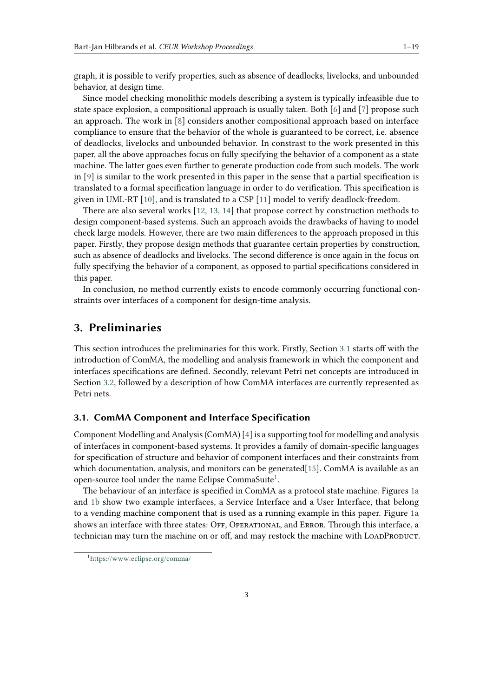graph, it is possible to verify properties, such as absence of deadlocks, livelocks, and unbounded behavior, at design time.

Since model checking monolithic models describing a system is typically infeasible due to state space explosion, a compositional approach is usually taken. Both [\[6\]](#page-17-5) and [\[7\]](#page-17-6) propose such an approach. The work in [\[8\]](#page-17-7) considers another compositional approach based on interface compliance to ensure that the behavior of the whole is guaranteed to be correct, i.e. absence of deadlocks, livelocks and unbounded behavior. In constrast to the work presented in this paper, all the above approaches focus on fully specifying the behavior of a component as a state machine. The latter goes even further to generate production code from such models. The work in [\[9\]](#page-17-8) is similar to the work presented in this paper in the sense that a partial specification is translated to a formal specification language in order to do verification. This specification is given in UML-RT [\[10\]](#page-17-9), and is translated to a CSP [\[11\]](#page-17-10) model to verify deadlock-freedom.

There are also several works [\[12,](#page-17-11) [13,](#page-17-12) [14\]](#page-17-13) that propose correct by construction methods to design component-based systems. Such an approach avoids the drawbacks of having to model check large models. However, there are two main differences to the approach proposed in this paper. Firstly, they propose design methods that guarantee certain properties by construction, such as absence of deadlocks and livelocks. The second difference is once again in the focus on fully specifying the behavior of a component, as opposed to partial specifications considered in this paper.

In conclusion, no method currently exists to encode commonly occurring functional constraints over interfaces of a component for design-time analysis.

### <span id="page-2-0"></span>**3. Preliminaries**

This section introduces the preliminaries for this work. Firstly, Section [3.1](#page-2-1) starts off with the introduction of ComMA, the modelling and analysis framework in which the component and interfaces specifications are defined. Secondly, relevant Petri net concepts are introduced in Section [3.2,](#page-4-1) followed by a description of how ComMA interfaces are currently represented as Petri nets.

#### <span id="page-2-1"></span>**3.1. ComMA Component and Interface Specification**

Component Modelling and Analysis (ComMA) [\[4\]](#page-17-3) is a supporting tool for modelling and analysis of interfaces in component-based systems. It provides a family of domain-specific languages for specification of structure and behavior of component interfaces and their constraints from which documentation, analysis, and monitors can be generated[\[15\]](#page-17-14). ComMA is available as an open-source tool under the name Eclipse CommaSuite<sup>[1](#page-2-2)</sup>.

The behaviour of an interface is specified in ComMA as a protocol state machine. Figures [1a](#page-3-0) and [1b](#page-3-1) show two example interfaces, a Service Interface and a User Interface, that belong to a vending machine component that is used as a running example in this paper. Figure [1a](#page-3-0) shows an interface with three states: OFF, OPERATIONAL, and ERROR. Through this interface, a technician may turn the machine on or off, and may restock the machine with LOADPRODUCT.

<span id="page-2-2"></span><sup>1</sup> [https://www](https://www.eclipse.org/comma/).eclipse.org/comma/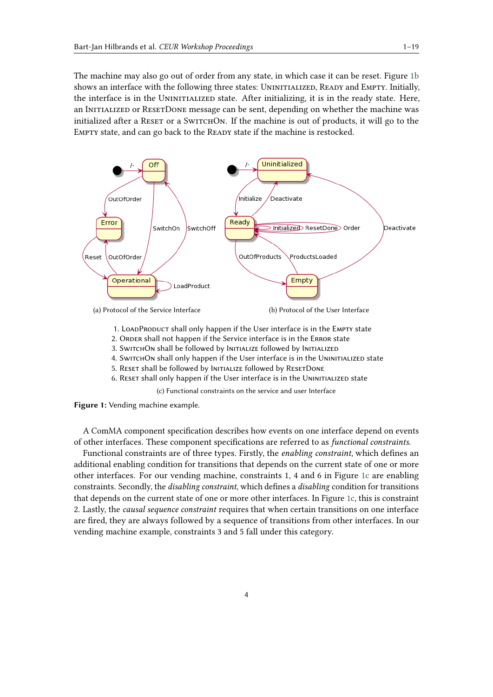The machine may also go out of order from any state, in which case it can be reset. Figure [1b](#page-3-1) shows an interface with the following three states: UNINITIALIZED, READY and EMPTY. Initially, the interface is in the UNINITIALIZED state. After initializing, it is in the ready state. Here, an INITIALIZED or RESETDONE message can be sent, depending on whether the machine was initialized after a RESET or a SWITCHON. If the machine is out of products, it will go to the EMPTY state, and can go back to the READY state if the machine is restocked.

<span id="page-3-0"></span>

<span id="page-3-2"></span><span id="page-3-1"></span>1. LOADPRODUCT shall only happen if the User interface is in the EMPTY state

- 2. ORDER shall not happen if the Service interface is in the ERROR state
- 3. SWITCHON shall be followed by INITIALIZE followed by INITIALIZED
- 4. SwitchOn shall only happen if the User interface is in the UNINITIALIZED state
- 5. RESET shall be followed by INITIALIZE followed by RESETDONE
- 6. Reset shall only happen if the User interface is in the Uninitialized state

(c) Functional constraints on the service and user Interface

**Figure 1:** Vending machine example.

A ComMA component specification describes how events on one interface depend on events of other interfaces. These component specifications are referred to as *functional constraints*.

Functional constraints are of three types. Firstly, the *enabling constraint*, which defines an additional enabling condition for transitions that depends on the current state of one or more other interfaces. For our vending machine, constraints 1, 4 and 6 in Figure [1c](#page-3-2) are enabling constraints. Secondly, the *disabling constraint*, which defines a *disabling* condition for transitions that depends on the current state of one or more other interfaces. In Figure [1c,](#page-3-2) this is constraint 2. Lastly, the *causal sequence constraint* requires that when certain transitions on one interface are fired, they are always followed by a sequence of transitions from other interfaces. In our vending machine example, constraints 3 and 5 fall under this category.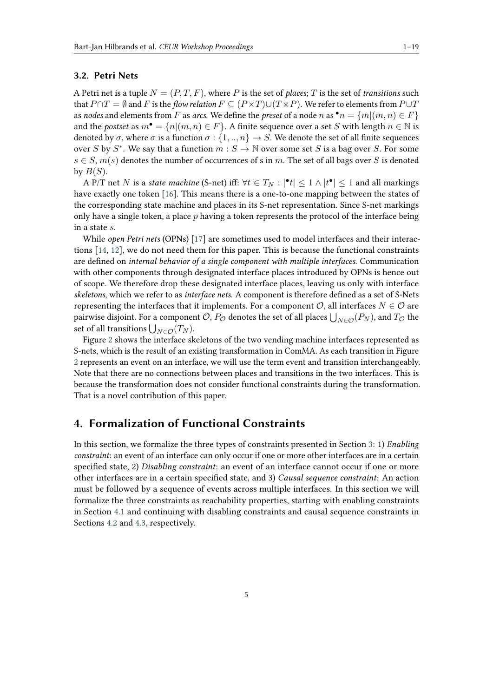#### <span id="page-4-1"></span>**3.2. Petri Nets**

A Petri net is a tuple  $N = (P, T, F)$ , where P is the set of *places*; T is the set of *transitions* such that  $P \cap T = \emptyset$  and F is the *flow relation*  $F \subseteq (P \times T) \cup (T \times P)$ . We refer to elements from  $P \cup T$ as *nodes* and elements from F as *arcs*. We define the *preset* of a node n as  $\bullet n = \{m | (m, n) \in F\}$ and the *postset* as  $m^{\bullet} = \{n | (m, n) \in F\}$ . A finite sequence over a set S with length  $n \in \mathbb{N}$  is denoted by  $\sigma$ , where  $\sigma$  is a function  $\sigma : \{1, ..., n\} \to S$ . We denote the set of all finite sequences over S by  $S^*$ . We say that a function  $m : S \to \mathbb{N}$  over some set S is a bag over S. For some  $s \in S$ ,  $m(s)$  denotes the number of occurrences of s in m. The set of all bags over S is denoted by  $B(S)$ .

A P/T net  $N$  is a *state machine* (S-net) iff:  $\forall t \in T_N : |\mathbf{e}_t| \leq 1 \wedge |t^{\bullet}| \leq 1$  and all markings have exactly one token [\[16\]](#page-17-15). This means there is a one-to-one mapping between the states of the corresponding state machine and places in its S-net representation. Since S-net markings only have a single token, a place  $p$  having a token represents the protocol of the interface being in a state  $s$ .

While *open Petri nets* (OPNs) [\[17\]](#page-17-16) are sometimes used to model interfaces and their interactions [\[14,](#page-17-13) [12\]](#page-17-11), we do not need them for this paper. This is because the functional constraints are defined on *internal behavior of a single component with multiple interfaces*. Communication with other components through designated interface places introduced by OPNs is hence out of scope. We therefore drop these designated interface places, leaving us only with interface *skeletons*, which we refer to as *interface nets*. A component is therefore defined as a set of S-Nets representing the interfaces that it implements. For a component  $\mathcal{O}$ , all interfaces  $N \in \mathcal{O}$  are pairwise disjoint. For a component  $\mathcal{O}$ ,  $P_\mathcal{O}$  denotes the set of all places  $\bigcup_{N\in\mathcal{O}}(P_N)$ , and  $T_\mathcal{O}$  the set of all transitions  $\bigcup_{N\in\mathcal{O}}(T_N)$ .

Figure [2](#page-5-0) shows the interface skeletons of the two vending machine interfaces represented as S-nets, which is the result of an existing transformation in ComMA. As each transition in Figure [2](#page-5-0) represents an event on an interface, we will use the term event and transition interchangeably. Note that there are no connections between places and transitions in the two interfaces. This is because the transformation does not consider functional constraints during the transformation. That is a novel contribution of this paper.

### <span id="page-4-0"></span>**4. Formalization of Functional Constraints**

In this section, we formalize the three types of constraints presented in Section [3:](#page-2-0) 1) *Enabling constraint*: an event of an interface can only occur if one or more other interfaces are in a certain specified state, 2) *Disabling constraint*: an event of an interface cannot occur if one or more other interfaces are in a certain specified state, and 3) *Causal sequence constraint*: An action must be followed by a sequence of events across multiple interfaces. In this section we will formalize the three constraints as reachability properties, starting with enabling constraints in Section [4.1](#page-5-1) and continuing with disabling constraints and causal sequence constraints in Sections [4.2](#page-6-0) and [4.3,](#page-6-1) respectively.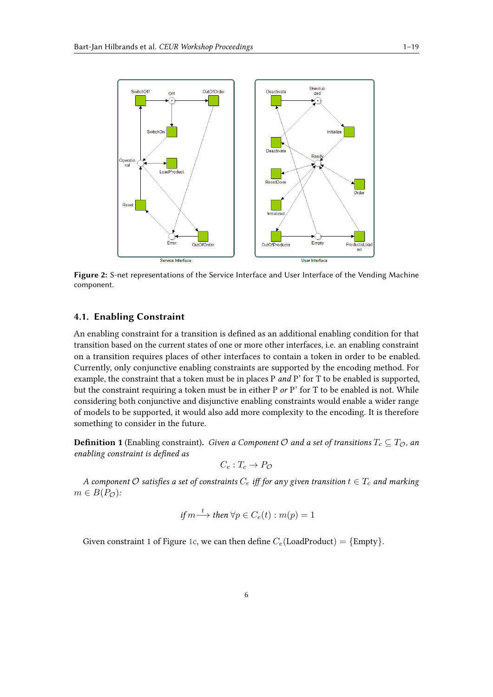

**Figure 2:** S-net representations of the Service Interface and User Interface of the Vending Machine component.

#### <span id="page-5-1"></span>**4.1. Enabling Constraint**

An enabling constraint for a transition is defined as an additional enabling condition for that transition based on the current states of one or more other interfaces, i.e. an enabling constraint on a transition requires places of other interfaces to contain a token in order to be enabled. Currently, only conjunctive enabling constraints are supported by the encoding method. For example, the constraint that a token must be in places P *and* P' for T to be enabled is supported, but the constraint requiring a token must be in either P *or* P' for T to be enabled is not. While considering both conjunctive and disjunctive enabling constraints would enable a wider range of models to be supported, it would also add more complexity to the encoding. It is therefore something to consider in the future.

<span id="page-5-2"></span>**Definition 1** (Enabling constraint). *Given a Component*  $O$  and a set of transitions  $T_c \subseteq T_O$ , an *enabling constraint is defined as*

<span id="page-5-0"></span>
$$
C_e: T_c \to P_{\mathcal{O}}
$$

*A component*  $\mathcal O$  satisfies a set of constraints  $C_e$  iff for any given transition  $t \in T_c$  and marking  $m \in B(P_{\mathcal{O}}):$ 

if 
$$
m \stackrel{t}{\longrightarrow}
$$
 then  $\forall p \in C_e(t) : m(p) = 1$ 

Given constraint 1 of Figure [1c,](#page-3-2) we can then define  $C_e$  (LoadProduct) = {Empty}.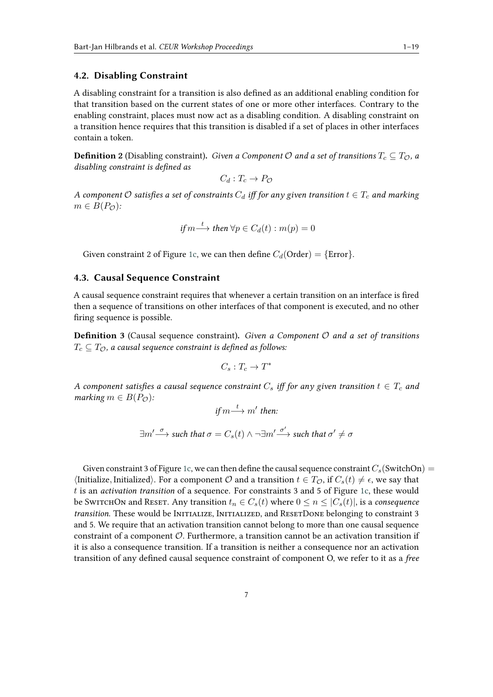#### <span id="page-6-0"></span>**4.2. Disabling Constraint**

A disabling constraint for a transition is also defined as an additional enabling condition for that transition based on the current states of one or more other interfaces. Contrary to the enabling constraint, places must now act as a disabling condition. A disabling constraint on a transition hence requires that this transition is disabled if a set of places in other interfaces contain a token.

<span id="page-6-2"></span>**Definition 2** (Disabling constraint). *Given a Component*  $O$  *and a set of transitions*  $T_c \subseteq T_O$ , *a disabling constraint is defined as*

$$
C_d: T_c \to P_{\mathcal{O}}
$$

*A component*  $\mathcal O$  satisfies a set of constraints  $C_d$  iff for any given transition  $t \in T_c$  and marking  $m \in B(P_{\mathcal{O}}):$ 

$$
if m \stackrel{t}{\longrightarrow} then \ \forall p \in C_d(t) : m(p) = 0
$$

Given constraint 2 of Figure [1c,](#page-3-2) we can then define  $C_d$ (Order) = {Error}.

#### <span id="page-6-1"></span>**4.3. Causal Sequence Constraint**

A causal sequence constraint requires that whenever a certain transition on an interface is fired then a sequence of transitions on other interfaces of that component is executed, and no other firing sequence is possible.

<span id="page-6-3"></span>**Definition 3** (Causal sequence constraint). Given a Component  $O$  and a set of transitions  $T_c \subseteq T_{\mathcal{O}}$ , a causal sequence constraint is defined as follows:

$$
C_s: T_c \to T^*
$$

*A* component satisfies a causal sequence constraint  $C_s$  iff for any given transition  $t \in T_c$  and *marking*  $m \in B(P_{\mathcal{O}})$ :

if 
$$
m \stackrel{t}{\longrightarrow} m'
$$
 then:

$$
\exists m' \overset{\sigma}{\longrightarrow} \textit{such that} \ \sigma = C_s(t) \wedge \neg \exists m' \overset{\sigma'}{\longrightarrow} \textit{such that} \ \sigma' \neq \sigma
$$

Given constraint 3 of Figure [1c,](#page-3-2) we can then define the causal sequence constraint  $C_s$  (SwitchOn) =  $\langle$ Initialize, Initialized $\rangle$ . For a component  $\mathcal O$  and a transition  $t \in T_{\mathcal O}$ , if  $C_s(t) \neq \epsilon$ , we say that is an *activation transition* of a sequence. For constraints 3 and 5 of Figure [1c,](#page-3-2) these would be SwitchOn and Reset. Any transition  $t_n \in C_s(t)$  where  $0 \leq n \leq |C_s(t)|$ , is a *consequence transition*. These would be INITIALIZE, INITIALIZED, and RESETDONE belonging to constraint 3 and 5. We require that an activation transition cannot belong to more than one causal sequence constraint of a component  $O$ . Furthermore, a transition cannot be an activation transition if it is also a consequence transition. If a transition is neither a consequence nor an activation transition of any defined causal sequence constraint of component O, we refer to it as a *free*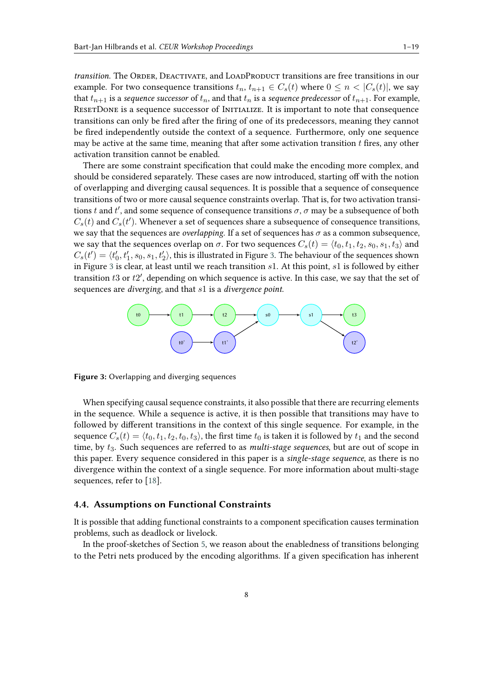*transition*. The ORDER, DEACTIVATE, and LOADPRODUCT transitions are free transitions in our example. For two consequence transitions  $t_n, t_{n+1} \in C_s(t)$  where  $0 \le n \le |C_s(t)|$ , we say that  $t_{n+1}$  is a *sequence successor* of  $t_n$ , and that  $t_n$  is a *sequence predecessor* of  $t_{n+1}$ . For example, RESETDONE is a sequence successor of INITIALIZE. It is important to note that consequence transitions can only be fired after the firing of one of its predecessors, meaning they cannot be fired independently outside the context of a sequence. Furthermore, only one sequence may be active at the same time, meaning that after some activation transition  $t$  fires, any other activation transition cannot be enabled.

There are some constraint specification that could make the encoding more complex, and should be considered separately. These cases are now introduced, starting off with the notion of overlapping and diverging causal sequences. It is possible that a sequence of consequence transitions of two or more causal sequence constraints overlap. That is, for two activation transitions t and t', and some sequence of consequence transitions  $\sigma$ ,  $\sigma$  may be a subsequence of both  $C_s(t)$  and  $C_s(t')$ . Whenever a set of sequences share a subsequence of consequence transitions, we say that the sequences are *overlapping*. If a set of sequences has  $\sigma$  as a common subsequence, we say that the sequences overlap on  $\sigma$ . For two sequences  $C_s(t) = \langle t_0, t_1, t_2, s_0, s_1, t_3 \rangle$  and  $C_s(t') = \langle t'_0, t'_1, s_0, s_1, t'_2 \rangle$ , this is illustrated in Figure [3.](#page-7-0) The behaviour of the sequences shown in Figure [3](#page-7-0) is clear, at least until we reach transition  $s1$ . At this point,  $s1$  is followed by either transition  $t3$  or  $t2'$ , depending on which sequence is active. In this case, we say that the set of sequences are *diverging*, and that  $s1$  is a *divergence point*.



<span id="page-7-0"></span>**Figure 3:** Overlapping and diverging sequences

When specifying causal sequence constraints, it also possible that there are recurring elements in the sequence. While a sequence is active, it is then possible that transitions may have to followed by different transitions in the context of this single sequence. For example, in the sequence  $C_s(t) = \langle t_0, t_1, t_2, t_0, t_3 \rangle$ , the first time  $t_0$  is taken it is followed by  $t_1$  and the second time, by  $t_3$ . Such sequences are referred to as *multi-stage sequences*, but are out of scope in this paper. Every sequence considered in this paper is a *single-stage sequence*, as there is no divergence within the context of a single sequence. For more information about multi-stage sequences, refer to [\[18\]](#page-18-0).

#### **4.4. Assumptions on Functional Constraints**

It is possible that adding functional constraints to a component specification causes termination problems, such as deadlock or livelock.

In the proof-sketches of Section [5,](#page-8-0) we reason about the enabledness of transitions belonging to the Petri nets produced by the encoding algorithms. If a given specification has inherent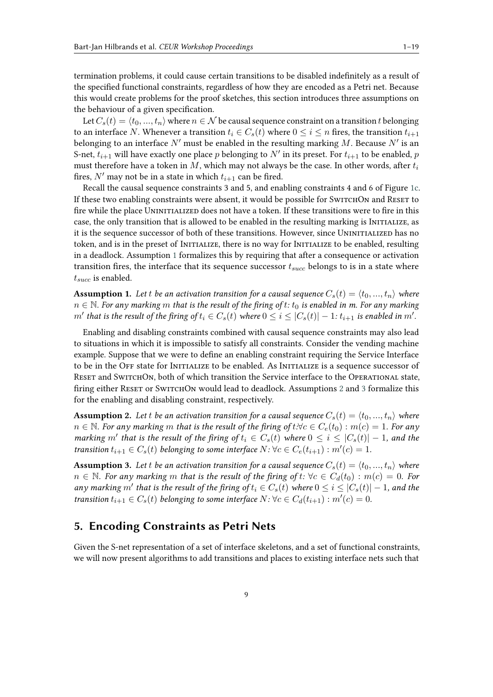termination problems, it could cause certain transitions to be disabled indefinitely as a result of the specified functional constraints, regardless of how they are encoded as a Petri net. Because this would create problems for the proof sketches, this section introduces three assumptions on the behaviour of a given specification.

Let  $C_s(t) = \langle t_0, ..., t_n \rangle$  where  $n \in \mathcal{N}$  be causal sequence constraint on a transition t belonging to an interface N. Whenever a transition  $t_i \in C_s(t)$  where  $0 \le i \le n$  fires, the transition  $t_{i+1}$ belonging to an interface  $N'$  must be enabled in the resulting marking  $M$ . Because  $N'$  is an S-net,  $t_{i+1}$  will have exactly one place  $p$  belonging to  $N'$  in its preset. For  $t_{i+1}$  to be enabled,  $p$ must therefore have a token in M, which may not always be the case. In other words, after  $t_i$ fires, N' may not be in a state in which  $t_{i+1}$  can be fired.

Recall the causal sequence constraints 3 and 5, and enabling constraints 4 and 6 of Figure [1c.](#page-3-2) If these two enabling constraints were absent, it would be possible for SWITCHON and RESET to fire while the place UNINITIALIZED does not have a token. If these transitions were to fire in this case, the only transition that is allowed to be enabled in the resulting marking is INITIALIZE, as it is the sequence successor of both of these transitions. However, since UNINITIALIZED has no token, and is in the preset of INITIALIZE, there is no way for INITIALIZE to be enabled, resulting in a deadlock. Assumption [1](#page-8-1) formalizes this by requiring that after a consequence or activation transition fires, the interface that its sequence successor  $t_{succ}$  belongs to is in a state where  $t_{succ}$  is enabled.

<span id="page-8-1"></span>**Assumption 1.** Let *t* be an activation transition for a causal sequence  $C_s(t) = \langle t_0, ..., t_n \rangle$  where  $n \in \mathbb{N}$ . For any marking m that is the result of the firing of  $t$ :  $t_0$  is enabled in m. For any marking  $m'$  that is the result of the firing of  $t_i \in C_s(t)$  where  $0 \leq i \leq |C_s(t)| - 1$ :  $t_{i+1}$  is enabled in  $m'.$ 

Enabling and disabling constraints combined with causal sequence constraints may also lead to situations in which it is impossible to satisfy all constraints. Consider the vending machine example. Suppose that we were to define an enabling constraint requiring the Service Interface to be in the OFF state for INITIALIZE to be enabled. As INITIALIZE is a sequence successor of RESET and SWITCHON, both of which transition the Service interface to the OPERATIONAL state, firing either RESET or SWITCHON would lead to deadlock. Assumptions [2](#page-8-2) and [3](#page-8-3) formalize this for the enabling and disabling constraint, respectively.

<span id="page-8-2"></span>**Assumption 2.** Let t be an activation transition for a causal sequence  $C_s(t) = \langle t_0, ..., t_n \rangle$  where  $n ∈ ℕ$ . For any marking m that is the result of the firing of  $t: ∀c ∈ C_e(t_0) : m(c) = 1$ . For any *marking*  $m'$  that is the result of the firing of  $t_i \in C_s(t)$  where  $0 \leq i \leq |C_s(t)| - 1$ , and the *transition*  $t_{i+1} \in C_s(t)$  *belonging to some interface*  $N: \forall c \in C_e(t_{i+1}): m'(c) = 1$ .

<span id="page-8-3"></span>**Assumption 3.** Let *t* be an activation transition for a causal sequence  $C_s(t) = \langle t_0, ..., t_n \rangle$  where  $n ∈ ℕ$ *. For any marking m that is the result of the firing of t:*  $∀c ∈ C_d(t_0) : m(c) = 0$ *. For any marking*  $m'$  that is the result of the firing of  $t_i \in C_s(t)$  where  $0 \leq i \leq |C_s(t)| - 1$ , and the *transition*  $t_{i+1} \in C_s(t)$  *belonging to some interface*  $N: \forall c \in C_d(t_{i+1}) : m'(c) = 0$ .

### <span id="page-8-0"></span>**5. Encoding Constraints as Petri Nets**

Given the S-net representation of a set of interface skeletons, and a set of functional constraints, we will now present algorithms to add transitions and places to existing interface nets such that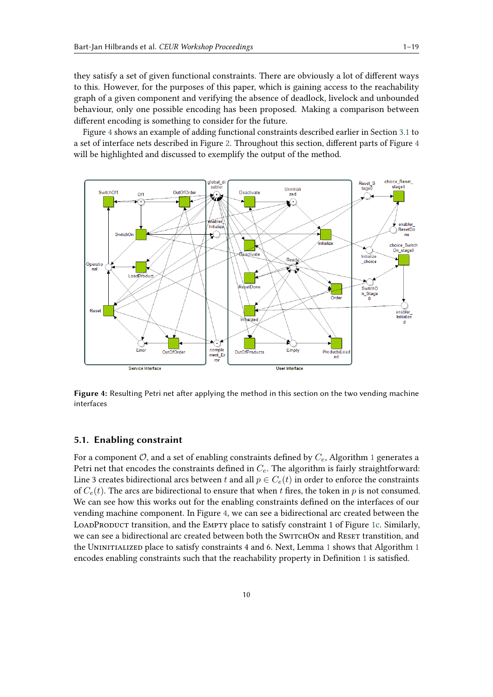they satisfy a set of given functional constraints. There are obviously a lot of different ways to this. However, for the purposes of this paper, which is gaining access to the reachability graph of a given component and verifying the absence of deadlock, livelock and unbounded behaviour, only one possible encoding has been proposed. Making a comparison between different encoding is something to consider for the future.

Figure [4](#page-9-0) shows an example of adding functional constraints described earlier in Section [3.1](#page-2-1) to a set of interface nets described in Figure [2.](#page-5-0) Throughout this section, different parts of Figure [4](#page-9-0) will be highlighted and discussed to exemplify the output of the method.



<span id="page-9-0"></span>**Figure 4:** Resulting Petri net after applying the method in this section on the two vending machine interfaces

#### **5.1. Enabling constraint**

For a component  $\mathcal{O}$ , and a set of enabling constraints defined by  $C_e$ , Algorithm [1](#page-10-0) generates a Petri net that encodes the constraints defined in  $C_e$ . The algorithm is fairly straightforward: Line 3 creates bidirectional arcs between t and all  $p \in C_e(t)$  in order to enforce the constraints of  $C_e(t)$ . The arcs are bidirectional to ensure that when t fires, the token in p is not consumed. We can see how this works out for the enabling constraints defined on the interfaces of our vending machine component. In Figure [4,](#page-9-0) we can see a bidirectional arc created between the LOADPRODUCT transition, and the EMPTY place to satisfy constraint 1 of Figure [1c.](#page-3-2) Similarly, we can see a bidirectional arc created between both the SWITCHON and RESET transtition, and the UNINITIALIZED place to satisfy constraints 4 and 6. Next, Lemma [1](#page-10-0) shows that Algorithm 1 encodes enabling constraints such that the reachability property in Definition [1](#page-5-2) is satisfied.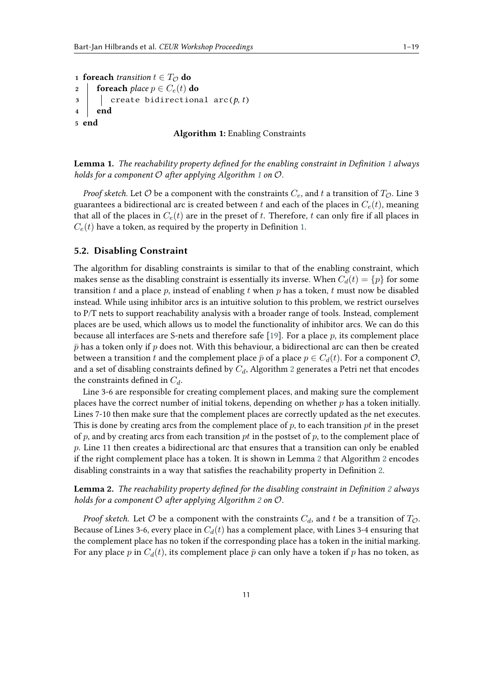```
1 foreach transition t \in T_{\mathcal{O}} do
2 foreach place p \in C_e(t) do
3 \vert create bidirectional arc(p, t)4 end
5 end
```
#### **Algorithm 1:** Enabling Constraints

<span id="page-10-1"></span>**Lemma 1.** *The reachability property defined for the enabling constraint in Definition [1](#page-5-2) always holds for a component*  $O$  after applying Algorithm [1](#page-10-0) on  $O$ .

*Proof sketch.* Let  $\mathcal O$  be a component with the constraints  $C_e$ , and  $t$  a transition of  $T_{\mathcal O}$ . Line 3 guarantees a bidirectional arc is created between t and each of the places in  $C_e(t)$ , meaning that all of the places in  $C_e(t)$  are in the preset of t. Therefore, t can only fire if all places in  $C_e(t)$  have a token, as required by the property in Definition [1.](#page-5-2)

#### **5.2. Disabling Constraint**

The algorithm for disabling constraints is similar to that of the enabling constraint, which makes sense as the disabling constraint is essentially its inverse. When  $C_d(t) = {p}$  for some transition  $t$  and a place  $p$ , instead of enabling  $t$  when  $p$  has a token,  $t$  must now be disabled instead. While using inhibitor arcs is an intuitive solution to this problem, we restrict ourselves to P/T nets to support reachability analysis with a broader range of tools. Instead, complement places are be used, which allows us to model the functionality of inhibitor arcs. We can do this because all interfaces are S-nets and therefore safe [\[19\]](#page-18-1). For a place  $p$ , its complement place  $\bar{p}$  has a token only if  $p$  does not. With this behaviour, a bidirectional arc can then be created between a transition t and the complement place  $\bar{p}$  of a place  $p \in C_d(t)$ . For a component  $\mathcal{O}$ , and a set of disabling constraints defined by  $C_d$ , Algorithm [2](#page-11-0) generates a Petri net that encodes the constraints defined in  $C_d$ .

Line 3-6 are responsible for creating complement places, and making sure the complement places have the correct number of initial tokens, depending on whether  $p$  has a token initially. Lines 7-10 then make sure that the complement places are correctly updated as the net executes. This is done by creating arcs from the complement place of  $p$ , to each transition  $pt$  in the preset of p, and by creating arcs from each transition  $pt$  in the postset of p, to the complement place of  $p$ . Line 11 then creates a bidirectional arc that ensures that a transition can only be enabled if the right complement place has a token. It is shown in Lemma [2](#page-10-2) that Algorithm [2](#page-11-0) encodes disabling constraints in a way that satisfies the reachability property in Definition [2.](#page-6-2)

<span id="page-10-2"></span>**Lemma 2.** *The reachability property defined for the disabling constraint in Definition [2](#page-6-2) always holds for a component*  $O$  after applying Algorithm [2](#page-11-0) on  $O$ .

*Proof sketch.* Let  $\mathcal O$  be a component with the constraints  $C_d$ , and  $t$  be a transition of  $T_{\mathcal O}$ . Because of Lines 3-6, every place in  $C_d(t)$  has a complement place, with Lines 3-4 ensuring that the complement place has no token if the corresponding place has a token in the initial marking. For any place p in  $C_d(t)$ , its complement place  $\bar{p}$  can only have a token if p has no token, as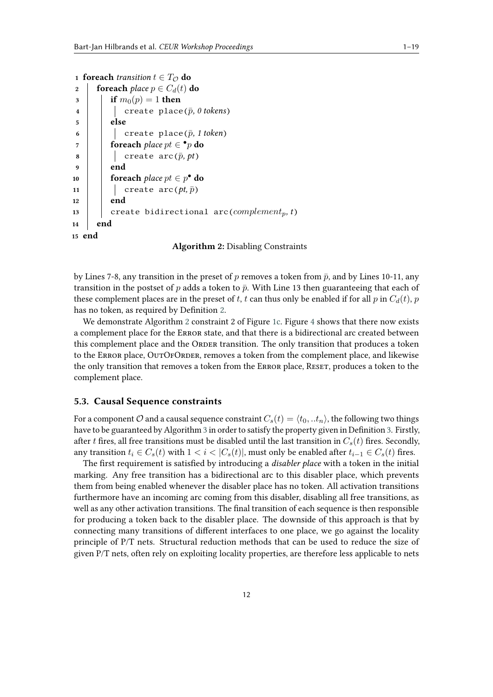```
1 foreach transition t \in T_{\mathcal{O}} do
2 foreach place p \in C_d(t) do
3 if m_0(p) = 1 then
4 \vert create place(\bar{p}, 0 tokens)
5 else
6 d create place(\bar{p}, 1 token)
 \sigma foreach place\ pt \in \bullet_p do
8 create \text{arc}(\bar{p}, pt)9 end
10 foreach place pt \in p^{\bullet} do
11 | create \text{arc}(pt, \bar{p})12 end
13 | create bidirectional arc(complement_p, t)
14 end
15 end
```
**Algorithm 2:** Disabling Constraints

by Lines 7-8, any transition in the preset of p removes a token from  $\bar{p}$ , and by Lines 10-11, any transition in the postset of p adds a token to  $\bar{p}$ . With Line 13 then guaranteeing that each of these complement places are in the preset of t, t can thus only be enabled if for all  $p$  in  $C_d(t)$ ,  $p$ has no token, as required by Definition [2.](#page-6-2)

We demonstrate Algorithm [2](#page-11-0) constraint 2 of Figure [1c.](#page-3-2) Figure [4](#page-9-0) shows that there now exists a complement place for the Error state, and that there is a bidirectional arc created between this complement place and the ORDER transition. The only transition that produces a token to the ERROR place, OUTOFORDER, removes a token from the complement place, and likewise the only transition that removes a token from the ERROR place, RESET, produces a token to the complement place.

#### **5.3. Causal Sequence constraints**

For a component  $\mathcal O$  and a causal sequence constraint  $C_s(t) = \langle t_0, t_n \rangle$ , the following two things have to be guaranteed by Algorithm [3](#page-13-0) in order to satisfy the property given in Definition [3.](#page-6-3) Firstly, after t fires, all free transitions must be disabled until the last transition in  $C_s(t)$  fires. Secondly, any transition  $t_i \in C_s(t)$  with  $1 < i < |C_s(t)|$ , must only be enabled after  $t_{i-1} \in C_s(t)$  fires.

The first requirement is satisfied by introducing a *disabler place* with a token in the initial marking. Any free transition has a bidirectional arc to this disabler place, which prevents them from being enabled whenever the disabler place has no token. All activation transitions furthermore have an incoming arc coming from this disabler, disabling all free transitions, as well as any other activation transitions. The final transition of each sequence is then responsible for producing a token back to the disabler place. The downside of this approach is that by connecting many transitions of different interfaces to one place, we go against the locality principle of P/T nets. Structural reduction methods that can be used to reduce the size of given P/T nets, often rely on exploiting locality properties, are therefore less applicable to nets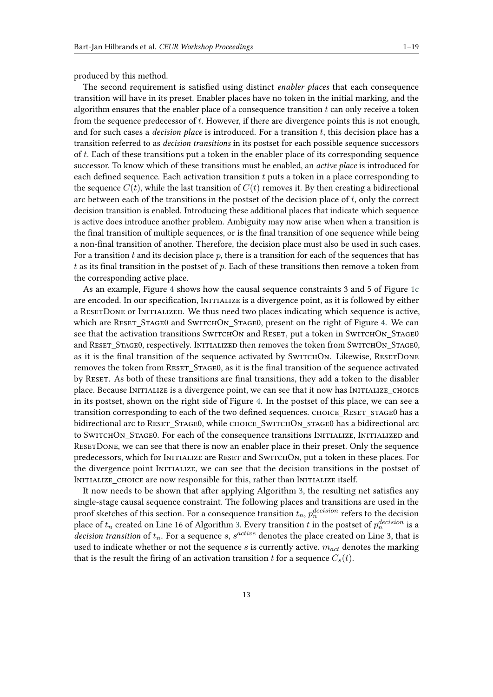produced by this method.

The second requirement is satisfied using distinct *enabler places* that each consequence transition will have in its preset. Enabler places have no token in the initial marking, and the algorithm ensures that the enabler place of a consequence transition  $t$  can only receive a token from the sequence predecessor of  $t$ . However, if there are divergence points this is not enough, and for such cases a *decision place* is introduced. For a transition t, this decision place has a transition referred to as *decision transitions* in its postset for each possible sequence successors of  $t$ . Each of these transitions put a token in the enabler place of its corresponding sequence successor. To know which of these transitions must be enabled, an *active place* is introduced for each defined sequence. Each activation transition  $t$  puts a token in a place corresponding to the sequence  $C(t)$ , while the last transition of  $C(t)$  removes it. By then creating a bidirectional arc between each of the transitions in the postset of the decision place of  $t$ , only the correct decision transition is enabled. Introducing these additional places that indicate which sequence is active does introduce another problem. Ambiguity may now arise when when a transition is the final transition of multiple sequences, or is the final transition of one sequence while being a non-final transition of another. Therefore, the decision place must also be used in such cases. For a transition  $t$  and its decision place  $p$ , there is a transition for each of the sequences that has  $t$  as its final transition in the postset of  $p$ . Each of these transitions then remove a token from the corresponding active place.

As an example, Figure [4](#page-9-0) shows how the causal sequence constraints 3 and 5 of Figure [1c](#page-3-2) are encoded. In our specification, INITIALIZE is a divergence point, as it is followed by either a RESETDONE or INITIALIZED. We thus need two places indicating which sequence is active, which are RESET STAGE0 and SWITCHON STAGE0, present on the right of Figure [4.](#page-9-0) We can see that the activation transitions SwitchOn and RESET, put a token in SwitchOn Stage0 and RESET\_STAGE0, respectively. INITIALIZED then removes the token from SWITCHON\_STAGE0, as it is the final transition of the sequence activated by SWITCHON. Likewise, RESETDONE removes the token from RESET STAGE0, as it is the final transition of the sequence activated by RESET. As both of these transitions are final transitions, they add a token to the disabler place. Because Initialize is a divergence point, we can see that it now has Initialize Choice in its postset, shown on the right side of Figure [4.](#page-9-0) In the postset of this place, we can see a transition corresponding to each of the two defined sequences. CHOICE\_RESET\_STAGE0 has a bidirectional arc to RESET\_STAGE0, while CHOICE\_SWITCHON\_STAGE0 has a bidirectional arc to SWITCHON STAGE0. For each of the consequence transitions INITIALIZE, INITIALIZED and ResetDone, we can see that there is now an enabler place in their preset. Only the sequence predecessors, which for INITIALIZE are RESET and SWITCHON, put a token in these places. For the divergence point Initialize, we can see that the decision transitions in the postset of INITIALIZE CHOICE are now responsible for this, rather than INITIALIZE itself.

It now needs to be shown that after applying Algorithm [3,](#page-13-0) the resulting net satisfies any single-stage causal sequence constraint. The following places and transitions are used in the proof sketches of this section. For a consequence transition  $t_n,$   $p_n^{decision}$  refers to the decision place of  $t_n$  created on Line 16 of Algorithm [3.](#page-13-0) Every transition  $t$  in the postset of  $p_n^{decision}$  is a *decision transition* of  $t_n$ . For a sequence s,  $s^{active}$  denotes the place created on Line 3, that is used to indicate whether or not the sequence  $s$  is currently active.  $m_{act}$  denotes the marking that is the result the firing of an activation transition t for a sequence  $C_s(t)$ .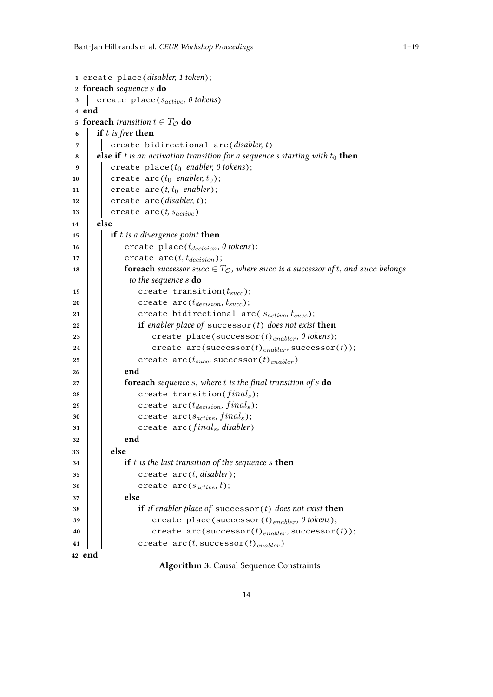```
1 create place(disabler, 1 token);
2 foreach sequence  do
 3 create place(s<sub>active</sub>, 0 tokens)
4 end
5 foreach transition t \in T_{\mathcal{O}} do
 6 if  is free then
 7 create bidirectional arc(disabler, t)
 8 else if t is an activation transition for a sequence s starting with t_0 then
 9 \vert create place(t_0_enabler, 0 tokens);
10 create arc(t_0_enabler, t_0);
11 create arc(t, t_0_enabler);
12 create arc(disabler, t);
\begin{array}{|c|c|c|c|c|}\n\hline\n\text{13} & \text{create arc}(t, s_{active})\n\hline\n\end{array}14 else
15 if  is a divergence point then
\begin{array}{c|c|c|c} \n\text{16} & \text{create place}(t_{decision}, 0 \text{ tokens}); \n\end{array}\mathbf{17} | create \mathrm{arc}(t, t_{decision});
18 foreach successor succ \in T_{\mathcal{O}}, where succ is a successor of t, and succ belongs
               to the sequence  do
19 \vert \vert create transition(t_{succ});
20 | | | create arc(t_{decision}, t_{succ});
21 | | create bidirectional arc( s_{active}, t_{succ});
22 if enabler place of successor(t) does not exist then
23 | | | | create place(successor(t)<sub>enabler</sub>, 0 tokens);
24 | | | create arc(successor(t)<sub>enabler</sub>, successor(t));
25 create arc(t_{succ}, successor(t)<sub>enabler</sub>)
26 end
27 foreach sequence , where  is the final transition of  do
28 | | | create transition(final_s);
29 | | create arc(t_{\text{decision}}, \text{final}_s);30 | | | create arc(s_{active}, final_s);
31 | create arc(final_s, disabler)32 end
33 else
34 if  is the last transition of the sequence  then
35 | | | create arc(t, disabler);
36 | | | create arc(s_{active}, t);
37 else
38 if if enabler place of successor(t) does not exist then
39 | | | create place(successor(t)<sub>enabler</sub>, 0 tokens);
\begin{array}{c|c|c|c} \hline \end{array} \begin{array}{c} \hline \end{array} create arc(successor(t)<sub>enabler</sub>, successor(t));
41 \vert \vert \vert create arc(t, successor(t)<sub>enabler</sub>)
42 end
```
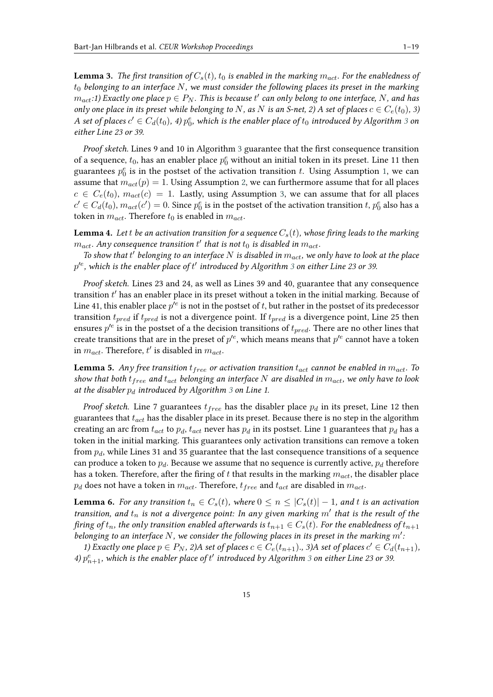<span id="page-14-2"></span>**Lemma 3.** *The first transition of*  $C_s(t)$ ,  $t_0$  *is enabled in the marking*  $m_{act}$ . For the enabledness of  $t_0$  belonging to an interface  $N$ , we must consider the following places its preset in the marking  $m_{act}$ :1) Exactly one place  $p \in P_N$ . This is because  $t'$  can only belong to one interface,  $N$ , and has *only one place in its preset while belonging to N*, *as N is an S-net, 2) A set of places*  $c \in C_e(t_0)$ , 3) A set of places  $c' \in C_d(t_0)$ , 4)  $p_0^e$ , which is the enabler place of  $t_0$  introduced by Algorithm [3](#page-13-0) on *either Line 23 or 39.*

*Proof sketch.* Lines 9 and 10 in Algorithm [3](#page-13-0) guarantee that the first consequence transition of a sequence,  $t_0$ , has an enabler place  $p_0^e$  without an initial token in its preset. Line 11 then guarantees  $p_0^e$  is in the postset of the activation transition t. Using Assumption [1,](#page-8-1) we can assume that  $m_{act}(p) = 1$ . Using Assumption [2,](#page-8-2) we can furthermore assume that for all places  $c \in C_e(t_0)$ ,  $m_{act}(c) = 1$ . Lastly, using Assumption [3,](#page-8-3) we can assume that for all places  $c' \in C_d(t_0), m_{act}(c') = 0$ . Since  $p_0^e$  is in the postset of the activation transition  $t, p_0^e$  also has a token in  $m_{act}.$  Therefore  $t_0$  is enabled in  $m_{act}.$ 

<span id="page-14-1"></span>**Lemma 4.** Let t be an activation transition for a sequence  $C_s(t)$ , whose firing leads to the marking  $m_{act}$ . Any consequence transition  $t^\prime$  that is not  $t_0$  is disabled in  $m_{act}$ .

To show that t' belonging to an interface N is disabled in  $m_{act}$ , we only have to look at the place  $p^{\prime e}$ , which is the enabler place of  $t'$  introduced by Algorithm [3](#page-13-0) on either Line 23 or 39.

*Proof sketch.* Lines 23 and 24, as well as Lines 39 and 40, guarantee that any consequence transition  $t'$  has an enabler place in its preset without a token in the initial marking. Because of Line 41, this enabler place  $p^{\prime e}$  is not in the postset of  $t,$  but rather in the postset of its predecessor transition  $t_{pred}$  if  $t_{pred}$  is not a divergence point. If  $t_{pred}$  is a divergence point, Line 25 then ensures  $p^{\prime e}$  is in the postset of a the decision transitions of  $t_{pred}$ . There are no other lines that create transitions that are in the preset of  $p'^e$ , which means means that  $p'^e$  cannot have a token in  $m_{act}$ . Therefore,  $t'$  is disabled in  $m_{act}$ .

<span id="page-14-0"></span>**Lemma 5.** *Any free transition*  $t_{free}$  *or activation transition*  $t_{act}$  *cannot be enabled in*  $m_{act}$ *. To show that both*  $t_{free}$  and  $t_{act}$  belonging an interface N are disabled in  $m_{act}$ , we only have to look *at the disabler introduced by Algorithm [3](#page-13-0) on Line 1.*

*Proof sketch.* Line 7 guarantees  $t_{free}$  has the disabler place  $p_d$  in its preset, Line 12 then guarantees that  $t_{act}$  has the disabler place in its preset. Because there is no step in the algorithm creating an arc from  $t_{act}$  to  $p_d$ ,  $t_{act}$  never has  $p_d$  in its postset. Line 1 guarantees that  $p_d$  has a token in the initial marking. This guarantees only activation transitions can remove a token from  $p_d$ , while Lines 31 and 35 guarantee that the last consequence transitions of a sequence can produce a token to  $p_d$ . Because we assume that no sequence is currently active,  $p_d$  therefore has a token. Therefore, after the firing of  $t$  that results in the marking  $m_{act}$ , the disabler place  $p_d$  does not have a token in  $m_{act}$ . Therefore,  $t_{free}$  and  $t_{act}$  are disabled in  $m_{act}$ .

<span id="page-14-3"></span>**Lemma 6.** *For any transition*  $t_n \in C_s(t)$ , where  $0 \leq n \leq |C_s(t)| - 1$ , and t is an activation *transition, and*  $t_n$  is not a divergence point: In any given marking  $m'$  that is the result of the *firing of*  $t_n$ , the only transition enabled afterwards is  $t_{n+1} \in C_s(t)$ . For the enabledness of  $t_{n+1}$ *belonging to an interface*  $N$ , we consider the following places in its preset in the marking  $m'$ .

*1)* Exactly one place  $p \in P_N$ , 2)A set of places  $c \in C_e(t_{n+1})$ ., 3)A set of places  $c' \in C_d(t_{n+1})$ , 4)  $p_{n+1}^e$ , which is the enabler place of  $t'$  introduced by Algorithm [3](#page-13-0) on either Line 23 or 39.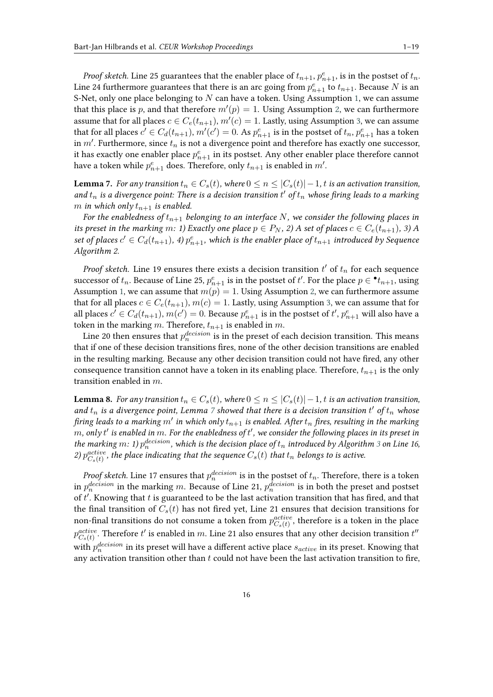*Proof sketch.* Line 25 guarantees that the enabler place of  $t_{n+1}$ ,  $p_{n+1}^e$ , is in the postset of  $t_n$ . Line 24 furthermore guarantees that there is an arc going from  $p_{n+1}^e$  to  $t_{n+1}$ . Because N is an S-Net, only one place belonging to  $N$  can have a token. Using Assumption [1,](#page-8-1) we can assume that this place is p, and that therefore  $m'(p) = 1$ . Using Assumption [2,](#page-8-2) we can furthermore assume that for all places  $c \in C_e(t_{n+1}), m'(c) = 1$ . Lastly, using Assumption [3,](#page-8-3) we can assume that for all places  $c' \in C_d(t_{n+1}), m'(c') = 0$ . As  $p_{n+1}^e$  is in the postset of  $t_n, p_{n+1}^e$  has a token in  $m'$ . Furthermore, since  $t_n$  is not a divergence point and therefore has exactly one successor, it has exactly one enabler place  $p_{n+1}^e$  in its postset. Any other enabler place therefore cannot have a token while  $p_{n+1}^e$  does. Therefore, only  $t_{n+1}$  is enabled in  $m'$ .

<span id="page-15-0"></span>**Lemma 7.** *For any transition*  $t_n \in C_s(t)$ , where  $0 \le n \le |C_s(t)| - 1$ , t is an activation transition, and  $t_n$  is a divergence point: There is a decision transition  $t'$  of  $t_n$  whose firing leads to a marking *m* in which only  $t_{n+1}$  is enabled.

*For the enabledness of*  $t_{n+1}$  *belonging to an interface*  $N$ , we consider the following places in *its preset in the marking m: 1) Exactly one place*  $p \in P_N$ , 2) A set of places  $c \in C_e(t_{n+1}),$  3) A set of places  $c' \in C_d(t_{n+1}),$  4)  $p_{n+1}^e$ , which is the enabler place of  $t_{n+1}$  introduced by Sequence *Algorithm 2.*

*Proof sketch.* Line 19 ensures there exists a decision transition  $t'$  of  $t_n$  for each sequence successor of  $t_n$ . Because of Line 25,  $p_{n+1}^e$  is in the postset of  $t'$ . For the place  $p \in \bullet t_{n+1}$ , using Assumption [1,](#page-8-1) we can assume that  $m(p) = 1$ . Using Assumption [2,](#page-8-2) we can furthermore assume that for all places  $c \in C_e(t_{n+1}), m(c) = 1$ . Lastly, using Assumption [3,](#page-8-3) we can assume that for all places  $c' \in C_d(t_{n+1}), m(c') = 0$ . Because  $p_{n+1}^e$  is in the postset of  $t', p_{n+1}^e$  will also have a token in the marking  $m$ . Therefore,  $t_{n+1}$  is enabled in  $m$ .

Line 20 then ensures that  $p_n^{decision}$  is in the preset of each decision transition. This means that if one of these decision transitions fires, none of the other decision transitions are enabled in the resulting marking. Because any other decision transition could not have fired, any other consequence transition cannot have a token in its enabling place. Therefore,  $t_{n+1}$  is the only transition enabled in  $m$ .

<span id="page-15-1"></span>**Lemma 8.** *For any transition*  $t_n \in C_s(t)$ , where  $0 \leq n \leq |C_s(t)| - 1$ ,  $t$  is an activation transition, and  $t_n$  is a divergence point, Lemma [7](#page-15-0) showed that there is a decision transition  $t'$  of  $t_n$  whose firing leads to a marking  $m'$  in which only  $t_{n+1}$  is enabled. After  $t_n$  fires, resulting in the marking  $m$ , only  $t^\prime$  is enabled in  $m.$  For the enabledness of  $t^\prime$ , we consider the following places in its preset in the marking  $m$ : 1)  $p_n^{decision}$ , which is the decision place of  $t_n$  introduced by Algorithm [3](#page-13-0) on Line 16, 2)  $p_{C_s(t)}^{active}$ , the place indicating that the sequence  $C_s(t)$  that  $t_n$  belongs to is active.

*Proof sketch.* Line 17 ensures that  $p_n^{decision}$  is in the postset of  $t_n$ . Therefore, there is a token in  $p_n^{decision}$  in the marking m. Because of Line 21,  $p_n^{decision}$  is in both the preset and postset of  $t'$ . Knowing that  $t$  is guaranteed to be the last activation transition that has fired, and that the final transition of  $C_s(t)$  has not fired yet, Line 21 ensures that decision transitions for non-final transitions do not consume a token from  $p_{C_s(t)}^{active}$ , therefore is a token in the place  $p_{C_s(t)}^{active}$ . Therefore  $t'$  is enabled in  $m$ . Line 21 also ensures that any other decision transition  $t''$ with  $p_n^{decision}$  in its preset will have a different active place  $s_{active}$  in its preset. Knowing that any activation transition other than  $t$  could not have been the last activation transition to fire,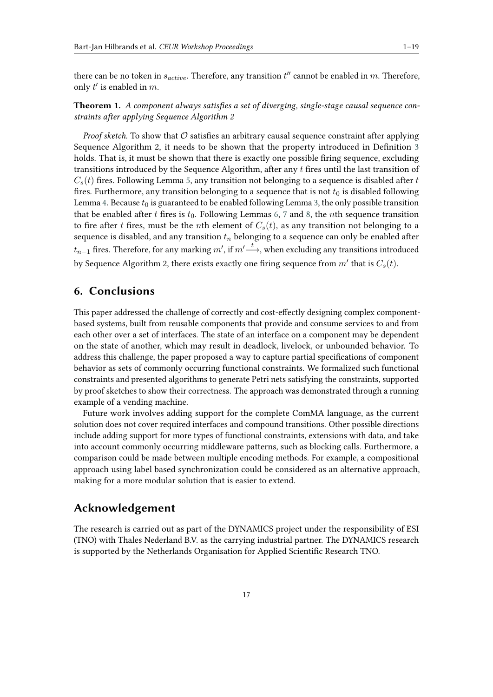there can be no token in  $s_{active}$ . Therefore, any transition  $t''$  cannot be enabled in  $m$ . Therefore, only  $t'$  is enabled in  $m$ .

**Theorem 1.** *A component always satisfies a set of diverging, single-stage causal sequence constraints after applying Sequence Algorithm 2*

*Proof sketch.* To show that  $\mathcal O$  satisfies an arbitrary causal sequence constraint after applying Sequence Algorithm 2, it needs to be shown that the property introduced in Definition [3](#page-6-3) holds. That is, it must be shown that there is exactly one possible firing sequence, excluding transitions introduced by the Sequence Algorithm, after any fires until the last transition of  $C_s(t)$  fires. Following Lemma [5,](#page-14-0) any transition not belonging to a sequence is disabled after t fires. Furthermore, any transition belonging to a sequence that is not  $t_0$  is disabled following Lemma [4.](#page-14-1) Because  $t_0$  is guaranteed to be enabled following Lemma [3,](#page-14-2) the only possible transition that be enabled after t fires is  $t_0$ . Following Lemmas [6,](#page-14-3) [7](#page-15-0) and [8,](#page-15-1) the nth sequence transition to fire after t fires, must be the nth element of  $C_s(t)$ , as any transition not belonging to a sequence is disabled, and any transition  $t_n$  belonging to a sequence can only be enabled after  $t_{n-1}$  fires. Therefore, for any marking  $m'$ , if  $m'\overset{t}{\longrightarrow}$ , when excluding any transitions introduced by Sequence Algorithm 2, there exists exactly one firing sequence from  $m'$  that is  $C_s(t)$ .

# <span id="page-16-0"></span>**6. Conclusions**

This paper addressed the challenge of correctly and cost-effectly designing complex componentbased systems, built from reusable components that provide and consume services to and from each other over a set of interfaces. The state of an interface on a component may be dependent on the state of another, which may result in deadlock, livelock, or unbounded behavior. To address this challenge, the paper proposed a way to capture partial specifications of component behavior as sets of commonly occurring functional constraints. We formalized such functional constraints and presented algorithms to generate Petri nets satisfying the constraints, supported by proof sketches to show their correctness. The approach was demonstrated through a running example of a vending machine.

Future work involves adding support for the complete ComMA language, as the current solution does not cover required interfaces and compound transitions. Other possible directions include adding support for more types of functional constraints, extensions with data, and take into account commonly occurring middleware patterns, such as blocking calls. Furthermore, a comparison could be made between multiple encoding methods. For example, a compositional approach using label based synchronization could be considered as an alternative approach, making for a more modular solution that is easier to extend.

# **Acknowledgement**

The research is carried out as part of the DYNAMICS project under the responsibility of ESI (TNO) with Thales Nederland B.V. as the carrying industrial partner. The DYNAMICS research is supported by the Netherlands Organisation for Applied Scientific Research TNO.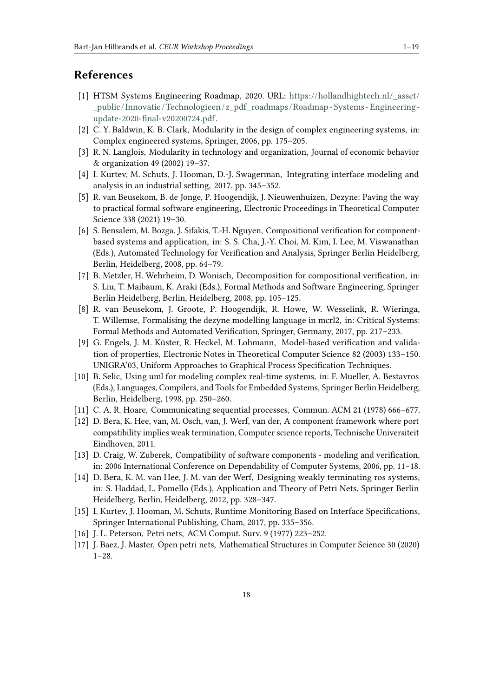# **References**

- <span id="page-17-0"></span>[1] HTSM Systems Engineering Roadmap, 2020. URL: [https://hollandhightech](https://hollandhightech.nl/_asset/_public/Innovatie/Technologieen/z_pdf_roadmaps/Roadmap-Systems-Engineering-update-2020-final-v20200724.pdf).nl/\_asset/ [\\_public/Innovatie/Technologieen/z\\_pdf\\_roadmaps/Roadmap- Systems- Engineering](https://hollandhightech.nl/_asset/_public/Innovatie/Technologieen/z_pdf_roadmaps/Roadmap-Systems-Engineering-update-2020-final-v20200724.pdf)[update-2020-final-v20200724](https://hollandhightech.nl/_asset/_public/Innovatie/Technologieen/z_pdf_roadmaps/Roadmap-Systems-Engineering-update-2020-final-v20200724.pdf).pdf.
- <span id="page-17-1"></span>[2] C. Y. Baldwin, K. B. Clark, Modularity in the design of complex engineering systems, in: Complex engineered systems, Springer, 2006, pp. 175–205.
- <span id="page-17-2"></span>[3] R. N. Langlois, Modularity in technology and organization, Journal of economic behavior & organization 49 (2002) 19–37.
- <span id="page-17-3"></span>[4] I. Kurtev, M. Schuts, J. Hooman, D.-J. Swagerman, Integrating interface modeling and analysis in an industrial setting, 2017, pp. 345–352.
- <span id="page-17-4"></span>[5] R. van Beusekom, B. de Jonge, P. Hoogendijk, J. Nieuwenhuizen, Dezyne: Paving the way to practical formal software engineering, Electronic Proceedings in Theoretical Computer Science 338 (2021) 19–30.
- <span id="page-17-5"></span>[6] S. Bensalem, M. Bozga, J. Sifakis, T.-H. Nguyen, Compositional verification for componentbased systems and application, in: S. S. Cha, J.-Y. Choi, M. Kim, I. Lee, M. Viswanathan (Eds.), Automated Technology for Verification and Analysis, Springer Berlin Heidelberg, Berlin, Heidelberg, 2008, pp. 64–79.
- <span id="page-17-6"></span>[7] B. Metzler, H. Wehrheim, D. Wonisch, Decomposition for compositional verification, in: S. Liu, T. Maibaum, K. Araki (Eds.), Formal Methods and Software Engineering, Springer Berlin Heidelberg, Berlin, Heidelberg, 2008, pp. 105–125.
- <span id="page-17-7"></span>[8] R. van Beusekom, J. Groote, P. Hoogendijk, R. Howe, W. Wesselink, R. Wieringa, T. Willemse, Formalising the dezyne modelling language in mcrl2, in: Critical Systems: Formal Methods and Automated Verification, Springer, Germany, 2017, pp. 217–233.
- <span id="page-17-8"></span>[9] G. Engels, J. M. Küster, R. Heckel, M. Lohmann, Model-based verification and validation of properties, Electronic Notes in Theoretical Computer Science 82 (2003) 133–150. UNIGRA'03, Uniform Approaches to Graphical Process Specification Techniques.
- <span id="page-17-9"></span>[10] B. Selic, Using uml for modeling complex real-time systems, in: F. Mueller, A. Bestavros (Eds.), Languages, Compilers, and Tools for Embedded Systems, Springer Berlin Heidelberg, Berlin, Heidelberg, 1998, pp. 250–260.
- <span id="page-17-10"></span>[11] C. A. R. Hoare, Communicating sequential processes, Commun. ACM 21 (1978) 666–677.
- <span id="page-17-11"></span>[12] D. Bera, K. Hee, van, M. Osch, van, J. Werf, van der, A component framework where port compatibility implies weak termination, Computer science reports, Technische Universiteit Eindhoven, 2011.
- <span id="page-17-12"></span>[13] D. Craig, W. Zuberek, Compatibility of software components - modeling and verification, in: 2006 International Conference on Dependability of Computer Systems, 2006, pp. 11–18.
- <span id="page-17-13"></span>[14] D. Bera, K. M. van Hee, J. M. van der Werf, Designing weakly terminating ros systems, in: S. Haddad, L. Pomello (Eds.), Application and Theory of Petri Nets, Springer Berlin Heidelberg, Berlin, Heidelberg, 2012, pp. 328–347.
- <span id="page-17-14"></span>[15] I. Kurtev, J. Hooman, M. Schuts, Runtime Monitoring Based on Interface Specifications, Springer International Publishing, Cham, 2017, pp. 335–356.
- <span id="page-17-15"></span>[16] J. L. Peterson, Petri nets, ACM Comput. Surv. 9 (1977) 223–252.
- <span id="page-17-16"></span>[17] J. Baez, J. Master, Open petri nets, Mathematical Structures in Computer Science 30 (2020) 1–28.